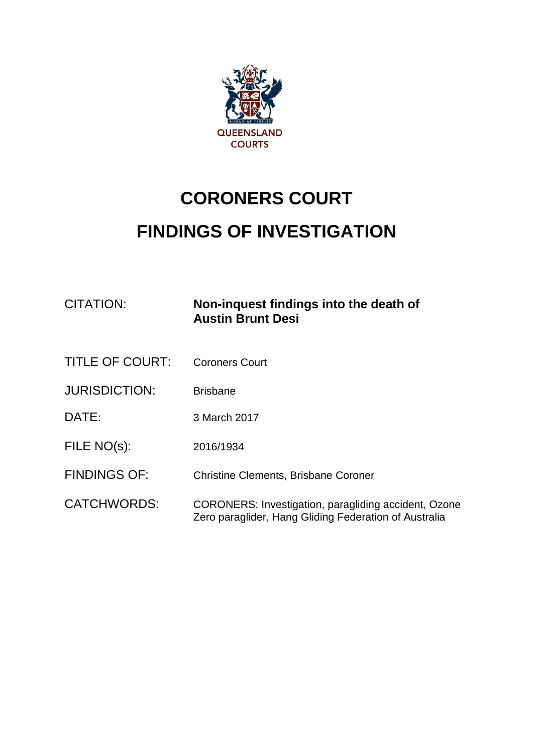

# **CORONERS COURT FINDINGS OF INVESTIGATION**

| <b>CITATION:</b>       | Non-inquest findings into the death of<br><b>Austin Brunt Desi</b>                                                   |
|------------------------|----------------------------------------------------------------------------------------------------------------------|
| <b>TITLE OF COURT:</b> | <b>Coroners Court</b>                                                                                                |
| <b>JURISDICTION:</b>   | <b>Brisbane</b>                                                                                                      |
| DATE:                  | 3 March 2017                                                                                                         |
| FILE NO(s):            | 2016/1934                                                                                                            |
| <b>FINDINGS OF:</b>    | <b>Christine Clements, Brisbane Coroner</b>                                                                          |
| <b>CATCHWORDS:</b>     | <b>CORONERS: Investigation, paragliding accident, Ozone</b><br>Zero paraglider, Hang Gliding Federation of Australia |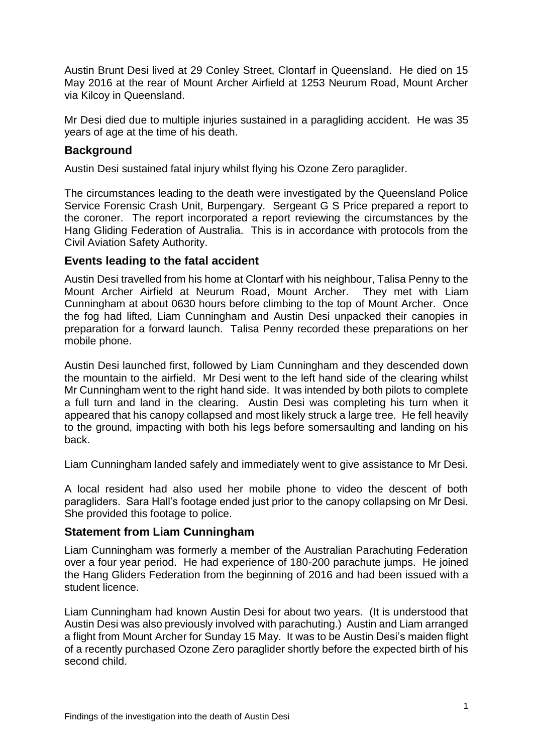Austin Brunt Desi lived at 29 Conley Street, Clontarf in Queensland. He died on 15 May 2016 at the rear of Mount Archer Airfield at 1253 Neurum Road, Mount Archer via Kilcoy in Queensland.

Mr Desi died due to multiple injuries sustained in a paragliding accident. He was 35 years of age at the time of his death.

## **Background**

Austin Desi sustained fatal injury whilst flying his Ozone Zero paraglider.

The circumstances leading to the death were investigated by the Queensland Police Service Forensic Crash Unit, Burpengary. Sergeant G S Price prepared a report to the coroner. The report incorporated a report reviewing the circumstances by the Hang Gliding Federation of Australia. This is in accordance with protocols from the Civil Aviation Safety Authority.

## **Events leading to the fatal accident**

Austin Desi travelled from his home at Clontarf with his neighbour, Talisa Penny to the Mount Archer Airfield at Neurum Road, Mount Archer. They met with Liam Cunningham at about 0630 hours before climbing to the top of Mount Archer. Once the fog had lifted, Liam Cunningham and Austin Desi unpacked their canopies in preparation for a forward launch. Talisa Penny recorded these preparations on her mobile phone.

Austin Desi launched first, followed by Liam Cunningham and they descended down the mountain to the airfield. Mr Desi went to the left hand side of the clearing whilst Mr Cunningham went to the right hand side. It was intended by both pilots to complete a full turn and land in the clearing. Austin Desi was completing his turn when it appeared that his canopy collapsed and most likely struck a large tree. He fell heavily to the ground, impacting with both his legs before somersaulting and landing on his back.

Liam Cunningham landed safely and immediately went to give assistance to Mr Desi.

A local resident had also used her mobile phone to video the descent of both paragliders. Sara Hall's footage ended just prior to the canopy collapsing on Mr Desi. She provided this footage to police.

### **Statement from Liam Cunningham**

Liam Cunningham was formerly a member of the Australian Parachuting Federation over a four year period. He had experience of 180-200 parachute jumps. He joined the Hang Gliders Federation from the beginning of 2016 and had been issued with a student licence.

Liam Cunningham had known Austin Desi for about two years. (It is understood that Austin Desi was also previously involved with parachuting.) Austin and Liam arranged a flight from Mount Archer for Sunday 15 May. It was to be Austin Desi's maiden flight of a recently purchased Ozone Zero paraglider shortly before the expected birth of his second child.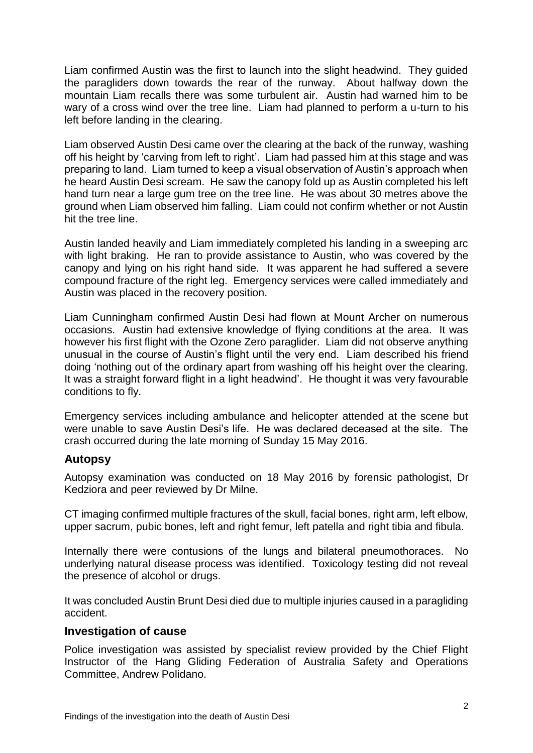Liam confirmed Austin was the first to launch into the slight headwind. They guided the paragliders down towards the rear of the runway. About halfway down the mountain Liam recalls there was some turbulent air. Austin had warned him to be wary of a cross wind over the tree line. Liam had planned to perform a u-turn to his left before landing in the clearing.

Liam observed Austin Desi came over the clearing at the back of the runway, washing off his height by 'carving from left to right'. Liam had passed him at this stage and was preparing to land. Liam turned to keep a visual observation of Austin's approach when he heard Austin Desi scream. He saw the canopy fold up as Austin completed his left hand turn near a large gum tree on the tree line. He was about 30 metres above the ground when Liam observed him falling. Liam could not confirm whether or not Austin hit the tree line.

Austin landed heavily and Liam immediately completed his landing in a sweeping arc with light braking. He ran to provide assistance to Austin, who was covered by the canopy and lying on his right hand side. It was apparent he had suffered a severe compound fracture of the right leg. Emergency services were called immediately and Austin was placed in the recovery position.

Liam Cunningham confirmed Austin Desi had flown at Mount Archer on numerous occasions. Austin had extensive knowledge of flying conditions at the area. It was however his first flight with the Ozone Zero paraglider. Liam did not observe anything unusual in the course of Austin's flight until the very end. Liam described his friend doing 'nothing out of the ordinary apart from washing off his height over the clearing. It was a straight forward flight in a light headwind'. He thought it was very favourable conditions to fly.

Emergency services including ambulance and helicopter attended at the scene but were unable to save Austin Desi's life. He was declared deceased at the site. The crash occurred during the late morning of Sunday 15 May 2016.

## **Autopsy**

Autopsy examination was conducted on 18 May 2016 by forensic pathologist, Dr Kedziora and peer reviewed by Dr Milne.

CT imaging confirmed multiple fractures of the skull, facial bones, right arm, left elbow, upper sacrum, pubic bones, left and right femur, left patella and right tibia and fibula.

Internally there were contusions of the lungs and bilateral pneumothoraces. No underlying natural disease process was identified. Toxicology testing did not reveal the presence of alcohol or drugs.

It was concluded Austin Brunt Desi died due to multiple injuries caused in a paragliding accident.

### **Investigation of cause**

Police investigation was assisted by specialist review provided by the Chief Flight Instructor of the Hang Gliding Federation of Australia Safety and Operations Committee, Andrew Polidano.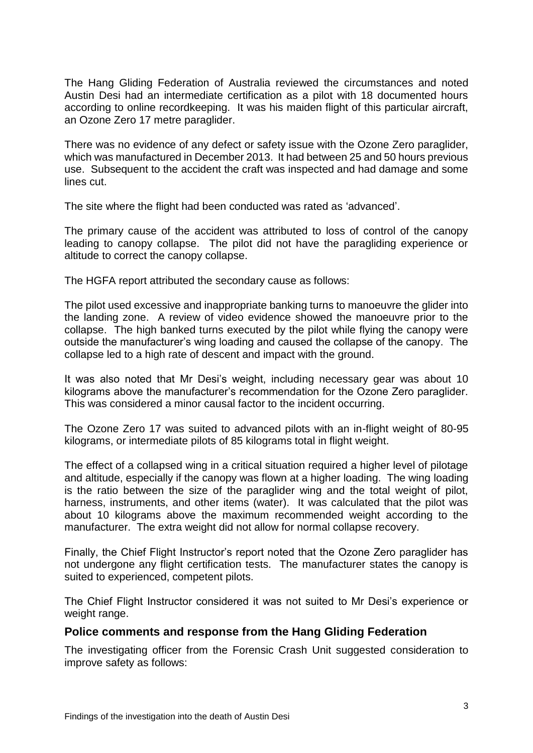The Hang Gliding Federation of Australia reviewed the circumstances and noted Austin Desi had an intermediate certification as a pilot with 18 documented hours according to online recordkeeping. It was his maiden flight of this particular aircraft, an Ozone Zero 17 metre paraglider.

There was no evidence of any defect or safety issue with the Ozone Zero paraglider, which was manufactured in December 2013. It had between 25 and 50 hours previous use. Subsequent to the accident the craft was inspected and had damage and some lines cut.

The site where the flight had been conducted was rated as 'advanced'.

The primary cause of the accident was attributed to loss of control of the canopy leading to canopy collapse. The pilot did not have the paragliding experience or altitude to correct the canopy collapse.

The HGFA report attributed the secondary cause as follows:

The pilot used excessive and inappropriate banking turns to manoeuvre the glider into the landing zone. A review of video evidence showed the manoeuvre prior to the collapse. The high banked turns executed by the pilot while flying the canopy were outside the manufacturer's wing loading and caused the collapse of the canopy. The collapse led to a high rate of descent and impact with the ground.

It was also noted that Mr Desi's weight, including necessary gear was about 10 kilograms above the manufacturer's recommendation for the Ozone Zero paraglider. This was considered a minor causal factor to the incident occurring.

The Ozone Zero 17 was suited to advanced pilots with an in-flight weight of 80-95 kilograms, or intermediate pilots of 85 kilograms total in flight weight.

The effect of a collapsed wing in a critical situation required a higher level of pilotage and altitude, especially if the canopy was flown at a higher loading. The wing loading is the ratio between the size of the paraglider wing and the total weight of pilot, harness, instruments, and other items (water). It was calculated that the pilot was about 10 kilograms above the maximum recommended weight according to the manufacturer. The extra weight did not allow for normal collapse recovery.

Finally, the Chief Flight Instructor's report noted that the Ozone Zero paraglider has not undergone any flight certification tests. The manufacturer states the canopy is suited to experienced, competent pilots.

The Chief Flight Instructor considered it was not suited to Mr Desi's experience or weight range.

### **Police comments and response from the Hang Gliding Federation**

The investigating officer from the Forensic Crash Unit suggested consideration to improve safety as follows: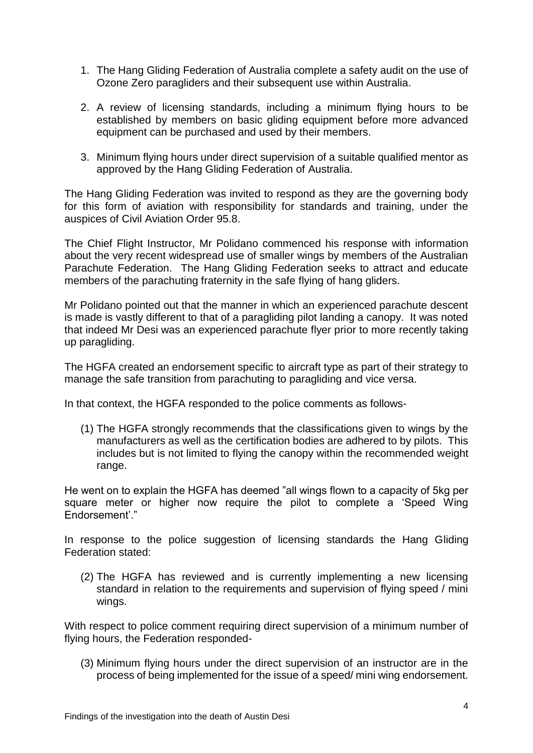- 1. The Hang Gliding Federation of Australia complete a safety audit on the use of Ozone Zero paragliders and their subsequent use within Australia.
- 2. A review of licensing standards, including a minimum flying hours to be established by members on basic gliding equipment before more advanced equipment can be purchased and used by their members.
- 3. Minimum flying hours under direct supervision of a suitable qualified mentor as approved by the Hang Gliding Federation of Australia.

The Hang Gliding Federation was invited to respond as they are the governing body for this form of aviation with responsibility for standards and training, under the auspices of Civil Aviation Order 95.8.

The Chief Flight Instructor, Mr Polidano commenced his response with information about the very recent widespread use of smaller wings by members of the Australian Parachute Federation. The Hang Gliding Federation seeks to attract and educate members of the parachuting fraternity in the safe flying of hang gliders.

Mr Polidano pointed out that the manner in which an experienced parachute descent is made is vastly different to that of a paragliding pilot landing a canopy. It was noted that indeed Mr Desi was an experienced parachute flyer prior to more recently taking up paragliding.

The HGFA created an endorsement specific to aircraft type as part of their strategy to manage the safe transition from parachuting to paragliding and vice versa.

In that context, the HGFA responded to the police comments as follows-

(1) The HGFA strongly recommends that the classifications given to wings by the manufacturers as well as the certification bodies are adhered to by pilots. This includes but is not limited to flying the canopy within the recommended weight range.

He went on to explain the HGFA has deemed "all wings flown to a capacity of 5kg per square meter or higher now require the pilot to complete a 'Speed Wing Endorsement'."

In response to the police suggestion of licensing standards the Hang Gliding Federation stated:

(2) The HGFA has reviewed and is currently implementing a new licensing standard in relation to the requirements and supervision of flying speed / mini wings.

With respect to police comment requiring direct supervision of a minimum number of flying hours, the Federation responded-

(3) Minimum flying hours under the direct supervision of an instructor are in the process of being implemented for the issue of a speed/ mini wing endorsement.